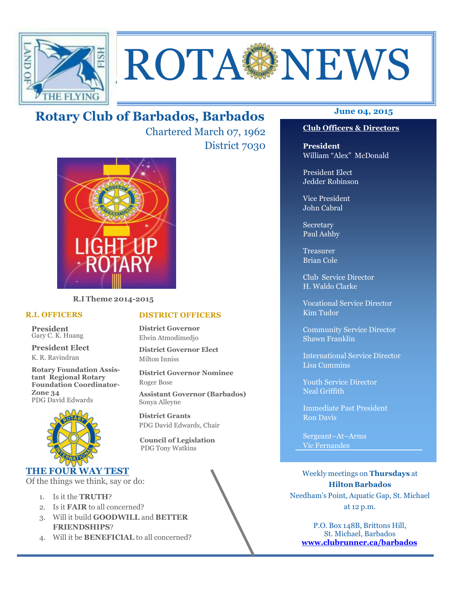

# ROTA NEWS

# **June 04, 2015 Rotary Club of Barbados, Barbados**

Chartered March 07, 1962 District 7030



**R.I Theme 2014-2015** 

#### **R.I. OFFICERS**

**President** Gary C. K. Huang

**President Elect** K. R. Ravindran

**Rotary Foundation Assistant Regional Rotary Foundation Coordinator-Zone 34**  PDG David Edwards



#### **THE FOUR WAY TEST**

Of the things we think, say or do:

- 1. Is it the **TRUTH**?
- 2. Is it **FAIR** to all concerned?
- 3. Will it build **GOODWILL** and **BETTER FRIENDSHIPS**?
- 4. Will it be **BENEFICIAL** to all concerned?

#### **Club Officers & Directors**

**President** William "Alex" McDonald

President Elect Jedder Robinson

Vice President John Cabral

Secretary Paul Ashby

Treasurer Brian Cole

Club Service Director H. Waldo Clarke

Vocational Service Director Kim Tudor

Community Service Director Shawn Franklin

International Service Director Lisa Cummins

Youth Service Director Neal Griffith

Immediate Past President Ron Davis

Sergeant–At–Arms Vic Fernandes

Weekly meetings on **Thursdays** at **Hilton Barbados** Needham's Point, Aquatic Gap, St. Michael at 12 p.m.

P.O. Box 148B, Brittons Hill, St. Michael, Barbados **www.clubrunner.ca/barbados**

#### **DISTRICT OFFICERS**

**District Governor** Elwin Atmodimedjo

**District Governor Elect** Milton Inniss

**District Governor Nominee**  Roger Bose

**Assistant Governor (Barbados)** Sonya Alleyne

**District Grants**  PDG David Edwards, Chair

 **Council of Legislation**  PDG Tony Watkins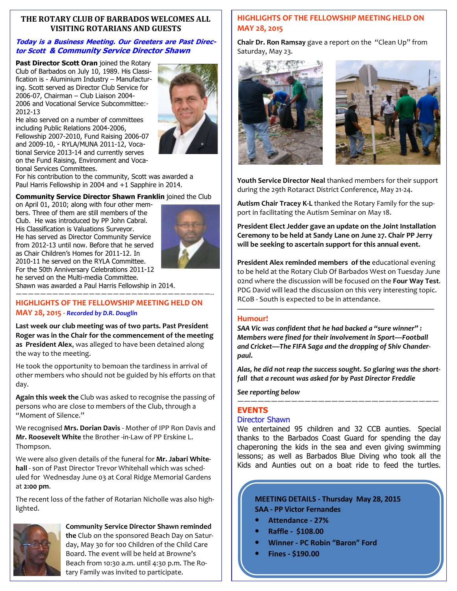#### **THE ROTARY CLUB OF BARBADOS WELCOMES ALL VISITING ROTARIANS AND GUESTS**

#### **Today is a Business Meeting. Our Greeters are Past Director Scott & Community Service Director Shawn**

**Past Director Scott Oran** joined the Rotary Club of Barbados on July 10, 1989. His Classification is - Aluminium Industry – Manufacturing. Scott served as Director Club Service for 2006-07, Chairman – Club Liaison 2004- 2006 and Vocational Service Subcommittee:- 2012-13



He also served on a number of committees including Public Relations 2004-2006, Fellowship 2007-2010, Fund Raising 2006-07 and 2009-10, - RYLA/MUNA 2011-12, Vocational Service 2013-14 and currently serves on the Fund Raising, Environment and Vocational Services Committees.

For his contribution to the community, Scott was awarded a Paul Harris Fellowship in 2004 and +1 Sapphire in 2014.

#### **Community Service Director Shawn Franklin** joined the Club

on April 01, 2010; along with four other members. Three of them are still members of the Club. He was introduced by PP John Cabral. His Classification is Valuations Surveyor. He has served as Director Community Service from 2012-13 until now. Before that he served as Chair Children's Homes for 2011-12. In 2010-11 he served on the RYLA Committee. For the 50th Anniversary Celebrations 2011-12 he served on the Multi-media Committee.



Shawn was awarded a Paul Harris Fellowship in 2014. ————————————————————————————————--

### **HIGHLIGHTS OF THE FELLOWSHIP MEETING HELD ON MAY 28, 2015 -** *Recorded by D.R. Douglin*

**Last week our club meeting was of two parts. Past President Roger was in the Chair for the commencement of the meeting as President Alex**, was alleged to have been detained along the way to the meeting.

He took the opportunity to bemoan the tardiness in arrival of other members who should not be guided by his efforts on that day.

**Again this week the** Club was asked to recognise the passing of persons who are close to members of the Club, through a "Moment of Silence."

We recognised **Mrs. Dorian Davis** - Mother of IPP Ron Davis and **Mr. Roosevelt White** the Brother -in-Law of PP Erskine L. Thompson.

We were also given details of the funeral for **Mr. Jabari Whitehall** - son of Past Director Trevor Whitehall which was scheduled for Wednesday June 03 at Coral Ridge Memorial Gardens at **2:00 pm**.

The recent loss of the father of Rotarian Nicholle was also highlighted.



### **Community Service Director Shawn reminded**

**the** Club on the sponsored Beach Day on Saturday, May 30 for 100 Children of the Child Care Board. The event will be held at Browne's Beach from 10:30 a.m. until 4:30 p.m. The Rotary Family was invited to participate.

#### **HIGHLIGHTS OF THE FELLOWSHIP MEETING HELD ON MAY 28, 2015**

**Chair Dr. Ron Ramsay** gave a report on the "Clean Up" from Saturday, May 23.





**Youth Service Director Neal** thanked members for their support during the 29th Rotaract District Conference, May 21-24.

**Autism Chair Tracey K-L** thanked the Rotary Family for the support in facilitating the Autism Seminar on May 18.

**President Elect Jedder gave an update on the Joint Installation Ceremony to be held at Sandy Lane on June 27. Chair PP Jerry will be seeking to ascertain support for this annual event.** 

**President Alex reminded members of the** educational evening to be held at the Rotary Club Of Barbados West on Tuesday June 02nd where the discussion will be focused on the **Four Way Test**. PDG David will lead the discussion on this very interesting topic. RCoB - South is expected to be in attendance.

#### **Humour!**

*SAA Vic was confident that he had backed a "sure winner" : Members were fined for their involvement in Sport—Football and Cricket—The FIFA Saga and the dropping of Shiv Chanderpaul.* 

————————————————————————

*Alas, he did not reap the success sought. So glaring was the shortfall that a recount was asked for by Past Director Freddie* 

*See reporting below* 

#### —————————————————————————————— **EVENTS**

#### Director Shawn

We entertained 95 children and 32 CCB aunties. Special thanks to the Barbados Coast Guard for spending the day chaperoning the kids in the sea and even giving swimming lessons; as well as Barbados Blue Diving who took all the Kids and Aunties out on a boat ride to feed the turtles.

#### **MEETING DETAILS - Thursday May 28, 2015 SAA - PP Victor Fernandes**

- **Attendance 27%**
- **Raffle \$108.00**
- **Winner PC Robin "Baron" Ford**
- **Fines \$190.00**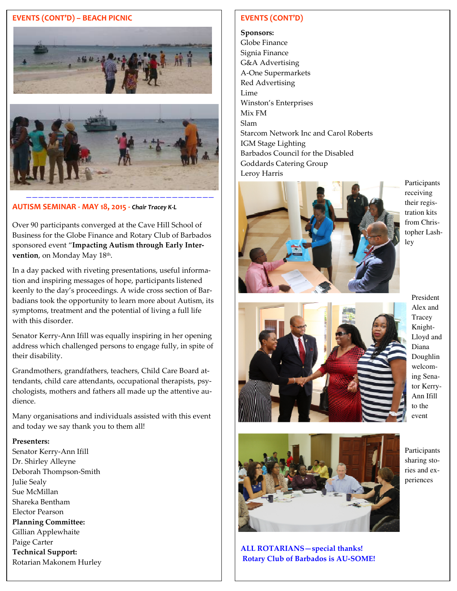#### **EVENTS (CONT'D) – BEACH PICNIC**





**AUTISM SEMINAR - MAY 18, 2015 -** *Chair Tracey K-L* 

Over 90 participants converged at the Cave Hill School of Business for the Globe Finance and Rotary Club of Barbados sponsored event "**Impacting Autism through Early Intervention**, on Monday May 18<sup>th</sup>.

In a day packed with riveting presentations, useful information and inspiring messages of hope, participants listened keenly to the day's proceedings. A wide cross section of Barbadians took the opportunity to learn more about Autism, its symptoms, treatment and the potential of living a full life with this disorder.

Senator Kerry-Ann Ifill was equally inspiring in her opening address which challenged persons to engage fully, in spite of their disability.

Grandmothers, grandfathers, teachers, Child Care Board attendants, child care attendants, occupational therapists, psychologists, mothers and fathers all made up the attentive audience.

Many organisations and individuals assisted with this event and today we say thank you to them all!

#### **Presenters:**

 Rotarian Makonem Hurley Senator Kerry-Ann Ifill Dr. Shirley Alleyne Deborah Thompson-Smith Julie Sealy Sue McMillan Shareka Bentham Elector Pearson **Planning Committee:**  Gillian Applewhaite Paige Carter **Technical Support:** 

#### **EVENTS (CONT'D)**

**Sponsors:**  Globe Finance Signia Finance G&A Advertising A-One Supermarkets Red Advertising Lime Winston's Enterprises Mix FM Slam Starcom Network Inc and Carol Roberts IGM Stage Lighting Barbados Council for the Disabled Goddards Catering Group Leroy Harris



Participants receiving their registration kits from Christopher Lashley



President Alex and **Tracey** Knight-Lloyd and Diana Doughlin welcoming Senator Kerry-Ann Ifill to the event



**ALL ROTARIANS—special thanks! Rotary Club of Barbados is AU-SOME!**  Participants sharing stories and experiences